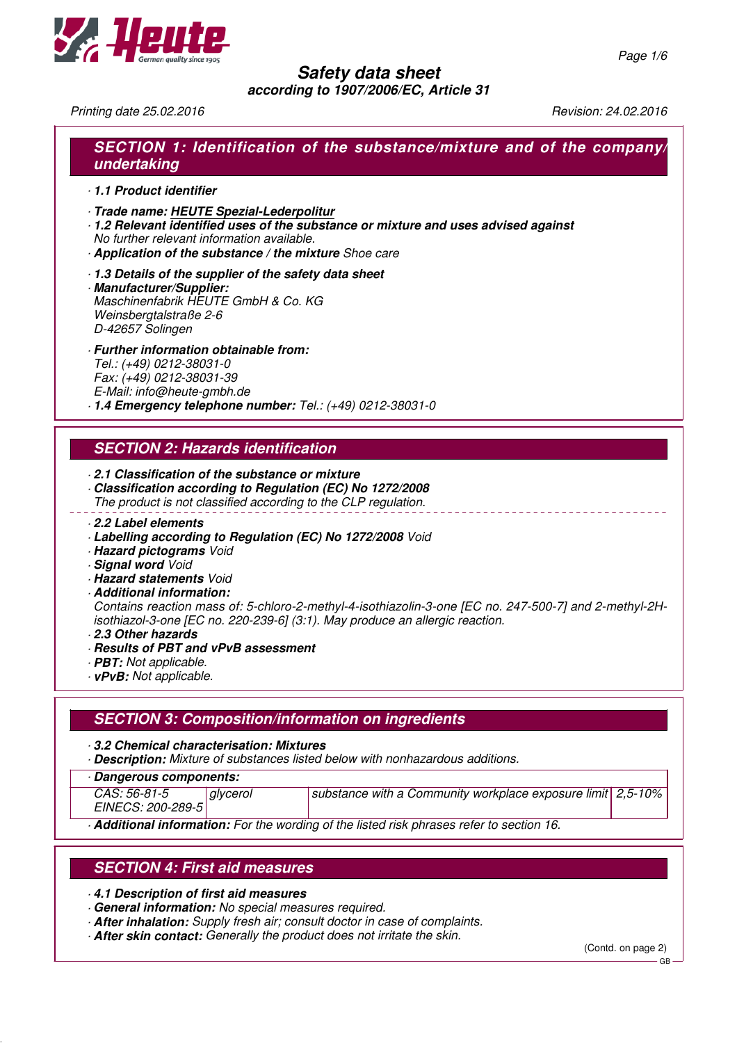

**according to 1907/2006/EC, Article 31**

Printing date 25.02.2016 **Principal Studies 24.02.2016** Revision: 24.02.2016

## **SECTION 1: Identification of the substance/mixture and of the company/ undertaking**

- · **1.1 Product identifier**
- · **Trade name: HEUTE Spezial-Lederpolitur**
- · **1.2 Relevant identified uses of the substance or mixture and uses advised against** No further relevant information available.
- · **Application of the substance / the mixture** Shoe care
- · **1.3 Details of the supplier of the safety data sheet**
- · **Manufacturer/Supplier:** Maschinenfabrik HEUTE GmbH & Co. KG Weinsbergtalstraße 2-6 D-42657 Solingen
- · **Further information obtainable from:** Tel.: (+49) 0212-38031-0 Fax: (+49) 0212-38031-39 E-Mail: info@heute-gmbh.de · **1.4 Emergency telephone number:** Tel.: (+49) 0212-38031-0
- **SECTION 2: Hazards identification**
- · **2.1 Classification of the substance or mixture**
- · **Classification according to Regulation (EC) No 1272/2008**
- The product is not classified according to the CLP regulation.
- · **2.2 Label elements**
- · **Labelling according to Regulation (EC) No 1272/2008** Void
- · **Hazard pictograms** Void
- · **Signal word** Void
- · **Hazard statements** Void
- · **Additional information:**

Contains reaction mass of: 5-chloro-2-methyl-4-isothiazolin-3-one [EC no. 247-500-7] and 2-methyl-2Hisothiazol-3-one [EC no. 220-239-6] (3:1). May produce an allergic reaction.

- · **2.3 Other hazards**
- · **Results of PBT and vPvB assessment**
- · **PBT:** Not applicable.
- · **vPvB:** Not applicable.

## **SECTION 3: Composition/information on ingredients**

- · **3.2 Chemical characterisation: Mixtures**
- · **Description:** Mixture of substances listed below with nonhazardous additions.
- · **Dangerous components:**

| .                                 |          |                                                               |  |
|-----------------------------------|----------|---------------------------------------------------------------|--|
| CAS: 56-81-5<br>EINECS: 200-289-5 | glycerol | I substance with a Community workplace exposure limit 2,5-10% |  |
|                                   |          |                                                               |  |

· **Additional information:** For the wording of the listed risk phrases refer to section 16.

## **SECTION 4: First aid measures**

- · **4.1 Description of first aid measures**
- · **General information:** No special measures required.
- · **After inhalation:** Supply fresh air; consult doctor in case of complaints.
- · **After skin contact:** Generally the product does not irritate the skin.

(Contd. on page 2)

GB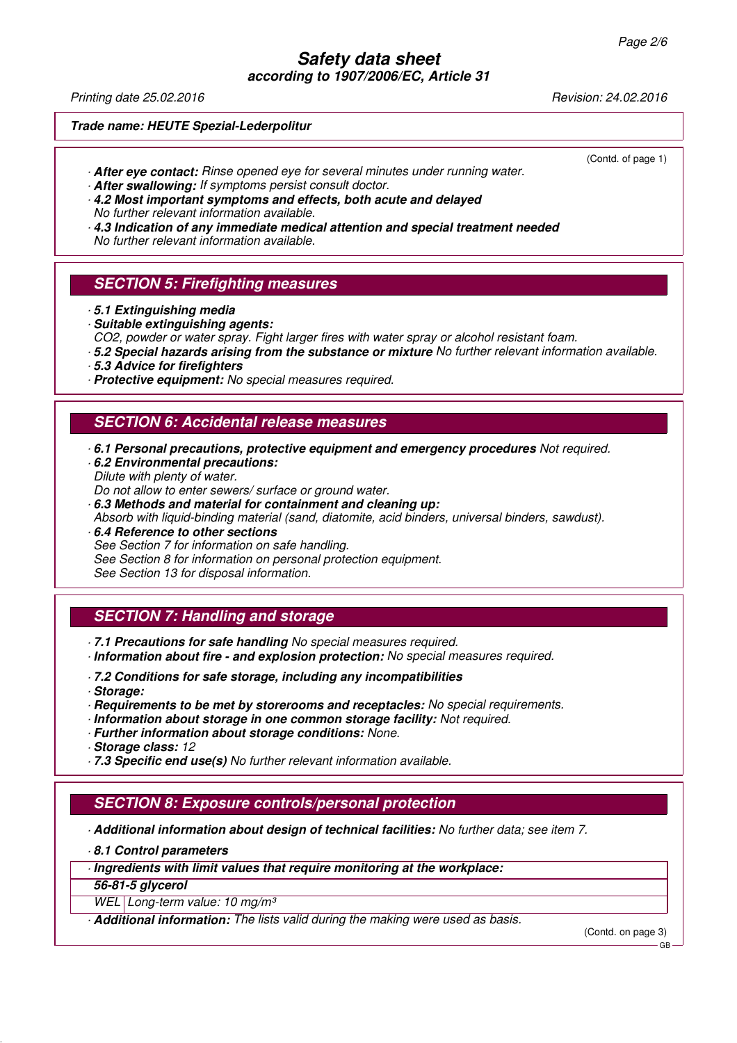**according to 1907/2006/EC, Article 31**

Printing date 25.02.2016 **Revision: 24.02.2016** Revision: 24.02.2016

(Contd. of page 1)

#### **Trade name: HEUTE Spezial-Lederpolitur**

- · **After eye contact:** Rinse opened eye for several minutes under running water.
- · **After swallowing:** If symptoms persist consult doctor.
- · **4.2 Most important symptoms and effects, both acute and delayed** No further relevant information available.
- · **4.3 Indication of any immediate medical attention and special treatment needed** No further relevant information available.

#### **SECTION 5: Firefighting measures**

- · **5.1 Extinguishing media**
- · **Suitable extinguishing agents:**
- CO2, powder or water spray. Fight larger fires with water spray or alcohol resistant foam.
- · **5.2 Special hazards arising from the substance or mixture** No further relevant information available.
- · **5.3 Advice for firefighters**
- · **Protective equipment:** No special measures required.

#### **SECTION 6: Accidental release measures**

- · **6.1 Personal precautions, protective equipment and emergency procedures** Not required.
- · **6.2 Environmental precautions:** Dilute with plenty of water. Do not allow to enter sewers/ surface or ground water.
- 
- · **6.3 Methods and material for containment and cleaning up:** Absorb with liquid-binding material (sand, diatomite, acid binders, universal binders, sawdust).
- · **6.4 Reference to other sections** See Section 7 for information on safe handling. See Section 8 for information on personal protection equipment. See Section 13 for disposal information.

## **SECTION 7: Handling and storage**

- · **7.1 Precautions for safe handling** No special measures required.
- · **Information about fire and explosion protection:** No special measures required.
- · **7.2 Conditions for safe storage, including any incompatibilities**
- · **Storage:**
- · **Requirements to be met by storerooms and receptacles:** No special requirements.
- · **Information about storage in one common storage facility:** Not required.
- · **Further information about storage conditions:** None.
- · **Storage class:** 12
- · **7.3 Specific end use(s)** No further relevant information available.

#### **SECTION 8: Exposure controls/personal protection**

· **Additional information about design of technical facilities:** No further data; see item 7.

· **8.1 Control parameters**

· **Ingredients with limit values that require monitoring at the workplace:**

**56-81-5 glycerol**

WEL Long-term value: 10 mg/m<sup>3</sup>

· **Additional information:** The lists valid during the making were used as basis.

(Contd. on page 3)

GB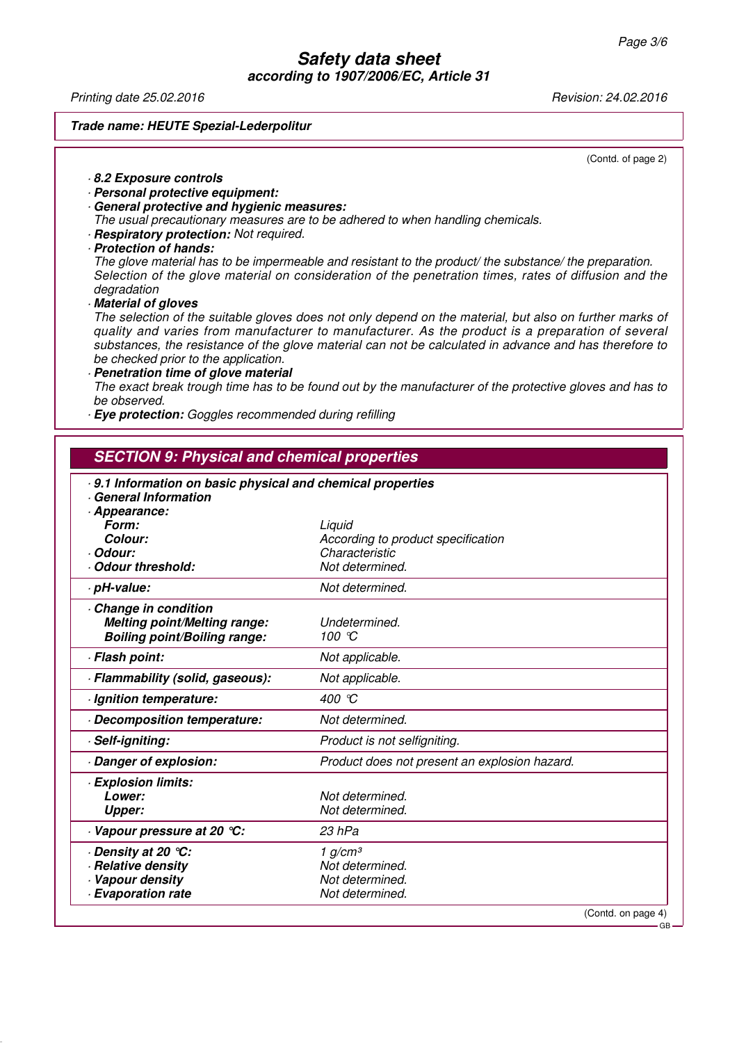**according to 1907/2006/EC, Article 31**

Printing date 25.02.2016 **Revision: 24.02.2016** Revision: 24.02.2016

#### **Trade name: HEUTE Spezial-Lederpolitur**

(Contd. of page 2)

- · **8.2 Exposure controls**
- · **Personal protective equipment:**
- · **General protective and hygienic measures:**

The usual precautionary measures are to be adhered to when handling chemicals.

- · **Respiratory protection:** Not required.
- · **Protection of hands:**

The glove material has to be impermeable and resistant to the product/ the substance/ the preparation. Selection of the glove material on consideration of the penetration times, rates of diffusion and the degradation

· **Material of gloves**

The selection of the suitable gloves does not only depend on the material, but also on further marks of quality and varies from manufacturer to manufacturer. As the product is a preparation of several substances, the resistance of the glove material can not be calculated in advance and has therefore to be checked prior to the application.

· **Penetration time of glove material** The exact break trough time has to be found out by the manufacturer of the protective gloves and has to be observed.

· **Eye protection:** Goggles recommended during refilling

## **SECTION 9: Physical and chemical properties**

| 9.1 Information on basic physical and chemical properties<br>General Information |                                               |  |
|----------------------------------------------------------------------------------|-----------------------------------------------|--|
| Appearance:<br>Form:                                                             |                                               |  |
| Colour:                                                                          | Liquid<br>According to product specification  |  |
| · Odour:                                                                         | Characteristic                                |  |
| Odour threshold:                                                                 | Not determined.                               |  |
| · pH-value:                                                                      | Not determined.                               |  |
| Change in condition                                                              |                                               |  |
| <b>Melting point/Melting range:</b>                                              | Undetermined.                                 |  |
| <b>Boiling point/Boiling range:</b>                                              | 100 °C                                        |  |
| · Flash point:                                                                   | Not applicable.                               |  |
| · Flammability (solid, gaseous):                                                 | Not applicable.                               |  |
| · Ignition temperature:                                                          | 400 °C                                        |  |
| Decomposition temperature:                                                       | Not determined.                               |  |
| · Self-igniting:                                                                 | Product is not selfigniting.                  |  |
| Danger of explosion:                                                             | Product does not present an explosion hazard. |  |
| · Explosion limits:                                                              |                                               |  |
| Lower:                                                                           | Not determined.                               |  |
| <b>Upper:</b>                                                                    | Not determined.                               |  |
| Vapour pressure at 20 °C:                                                        | 23 hPa                                        |  |
| · Density at 20 ℃:                                                               | 1 g/cm <sup>3</sup>                           |  |
| · Relative density                                                               | Not determined.                               |  |
| Vapour density                                                                   | Not determined.                               |  |
| <b>Evaporation rate</b>                                                          | Not determined.                               |  |
|                                                                                  | (Contd. on page 4)                            |  |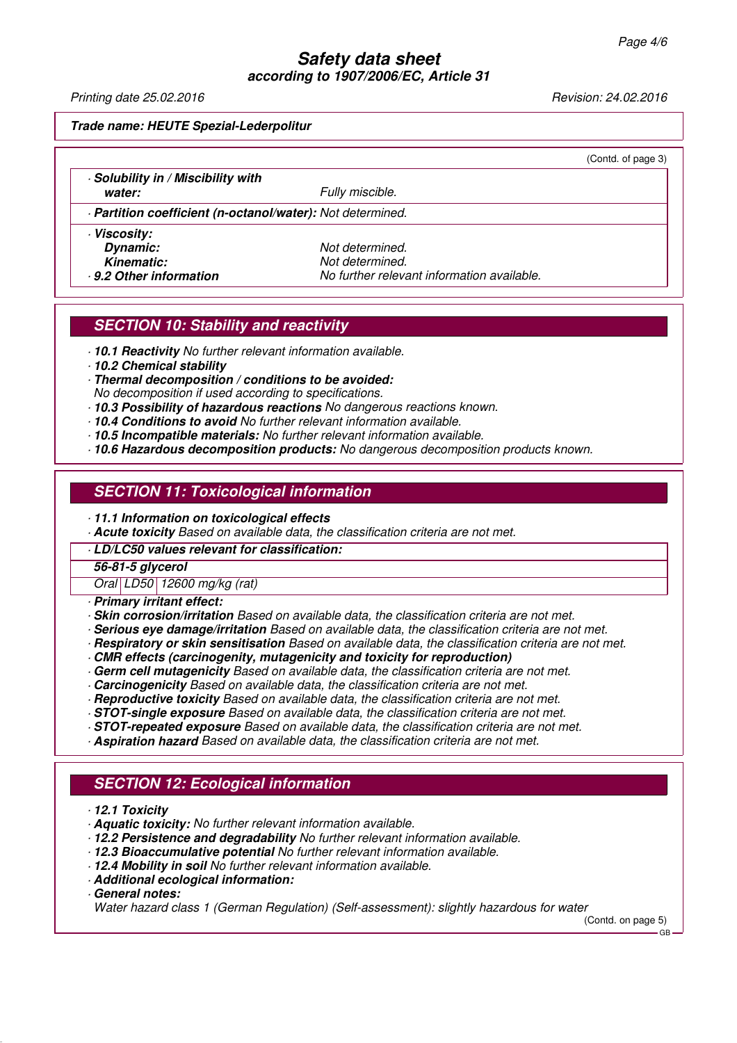**according to 1907/2006/EC, Article 31**

Printing date 25.02.2016 **Revision: 24.02.2016** Revision: 24.02.2016

(Contd. of page 3)

**Trade name: HEUTE Spezial-Lederpolitur**

· **Solubility in / Miscibility with**

**water:**  $\negthinspace \qquad$  **Water:**  $\negthinspace \qquad$  **Fully miscible.** 

· **Partition coefficient (n-octanol/water):** Not determined.

· **Viscosity: Dynamic:** Not determined.

**Kinematic:** Not determined. · **9.2 Other information** No further relevant information available.

## **SECTION 10: Stability and reactivity**

· **10.1 Reactivity** No further relevant information available.

· **10.2 Chemical stability**

- · **Thermal decomposition / conditions to be avoided:**
- No decomposition if used according to specifications.
- · **10.3 Possibility of hazardous reactions** No dangerous reactions known.
- · **10.4 Conditions to avoid** No further relevant information available.
- · **10.5 Incompatible materials:** No further relevant information available.
- · **10.6 Hazardous decomposition products:** No dangerous decomposition products known.

#### **SECTION 11: Toxicological information**

- · **11.1 Information on toxicological effects**
- · **Acute toxicity** Based on available data, the classification criteria are not met.
- · **LD/LC50 values relevant for classification:**

#### **56-81-5 glycerol**

Oral LD50 12600 mg/kg (rat)

- · **Primary irritant effect:**
- · **Skin corrosion/irritation** Based on available data, the classification criteria are not met.
- · **Serious eye damage/irritation** Based on available data, the classification criteria are not met.
- · **Respiratory or skin sensitisation** Based on available data, the classification criteria are not met.
- · **CMR effects (carcinogenity, mutagenicity and toxicity for reproduction)**
- · **Germ cell mutagenicity** Based on available data, the classification criteria are not met.
- · **Carcinogenicity** Based on available data, the classification criteria are not met.
- · **Reproductive toxicity** Based on available data, the classification criteria are not met.
- · **STOT-single exposure** Based on available data, the classification criteria are not met.
- · **STOT-repeated exposure** Based on available data, the classification criteria are not met.
- · **Aspiration hazard** Based on available data, the classification criteria are not met.

## **SECTION 12: Ecological information**

- · **12.1 Toxicity**
- · **Aquatic toxicity:** No further relevant information available.
- · **12.2 Persistence and degradability** No further relevant information available.
- · **12.3 Bioaccumulative potential** No further relevant information available.
- · **12.4 Mobility in soil** No further relevant information available.
- · **Additional ecological information:**
- · **General notes:**

Water hazard class 1 (German Regulation) (Self-assessment): slightly hazardous for water

(Contd. on page 5)

GB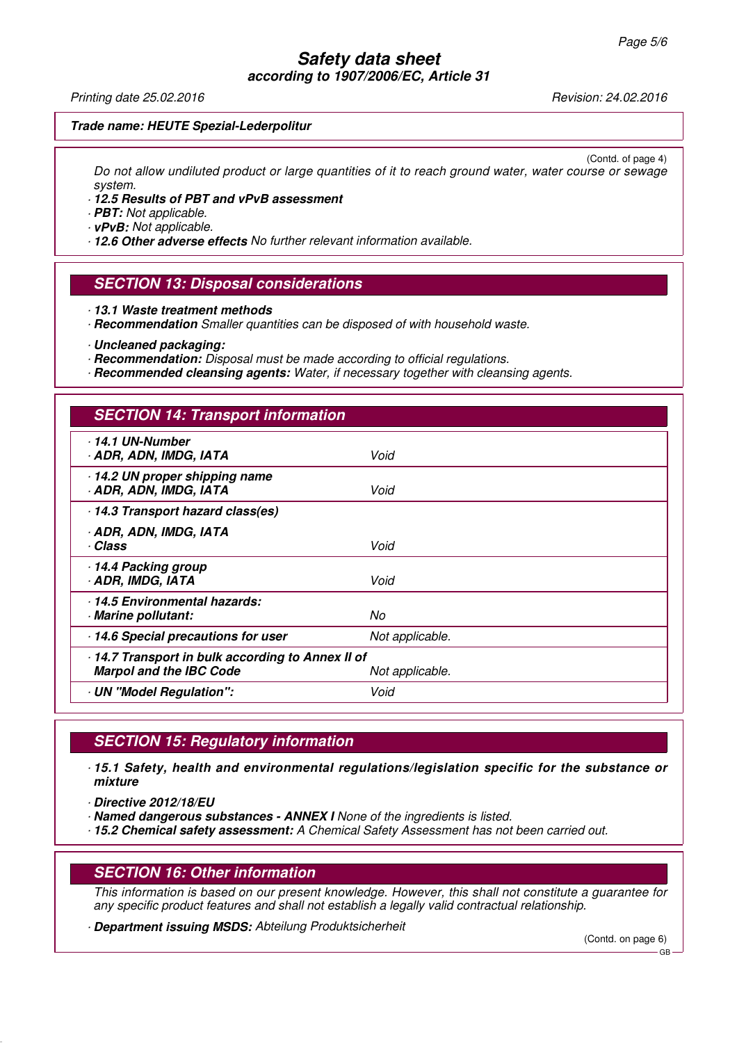#### **Safety data sheet according to 1907/2006/EC, Article 31**

Printing date 25.02.2016 **Revision: 24.02.2016** Revision: 24.02.2016

#### **Trade name: HEUTE Spezial-Lederpolitur**

(Contd. of page 4) Do not allow undiluted product or large quantities of it to reach ground water, water course or sewage system.

· **12.5 Results of PBT and vPvB assessment**

· **PBT:** Not applicable.

· **vPvB:** Not applicable.

· **12.6 Other adverse effects** No further relevant information available.

#### **SECTION 13: Disposal considerations**

· **13.1 Waste treatment methods**

· **Recommendation** Smaller quantities can be disposed of with household waste.

· **Uncleaned packaging:**

· **Recommendation:** Disposal must be made according to official regulations.

· **Recommended cleansing agents:** Water, if necessary together with cleansing agents.

## **SECTION 14: Transport information**

| $-14.1$ UN-Number<br>· ADR, ADN, IMDG, IATA          | Void            |  |  |  |
|------------------------------------------------------|-----------------|--|--|--|
| 14.2 UN proper shipping name<br>ADR, ADN, IMDG, IATA | Void            |  |  |  |
| 14.3 Transport hazard class(es)                      |                 |  |  |  |
| · ADR, ADN, IMDG, IATA                               |                 |  |  |  |
| · Class                                              | Void            |  |  |  |
| 14.4 Packing group                                   |                 |  |  |  |
| ADR, IMDG, IATA                                      | Void            |  |  |  |
| 14.5 Environmental hazards:                          |                 |  |  |  |
| · Marine pollutant:                                  | No              |  |  |  |
| 14.6 Special precautions for user                    | Not applicable. |  |  |  |
| - 14.7 Transport in bulk according to Annex II of    |                 |  |  |  |
| <b>Marpol and the IBC Code</b>                       | Not applicable. |  |  |  |
| UN "Model Regulation":                               | Void            |  |  |  |
|                                                      |                 |  |  |  |

## **SECTION 15: Regulatory information**

· **15.1 Safety, health and environmental regulations/legislation specific for the substance or mixture**

· **Directive 2012/18/EU**

- · **Named dangerous substances ANNEX I** None of the ingredients is listed.
- · **15.2 Chemical safety assessment:** A Chemical Safety Assessment has not been carried out.

#### **SECTION 16: Other information**

This information is based on our present knowledge. However, this shall not constitute a guarantee for any specific product features and shall not establish a legally valid contractual relationship.

· **Department issuing MSDS:** Abteilung Produktsicherheit

(Contd. on page 6)

GB